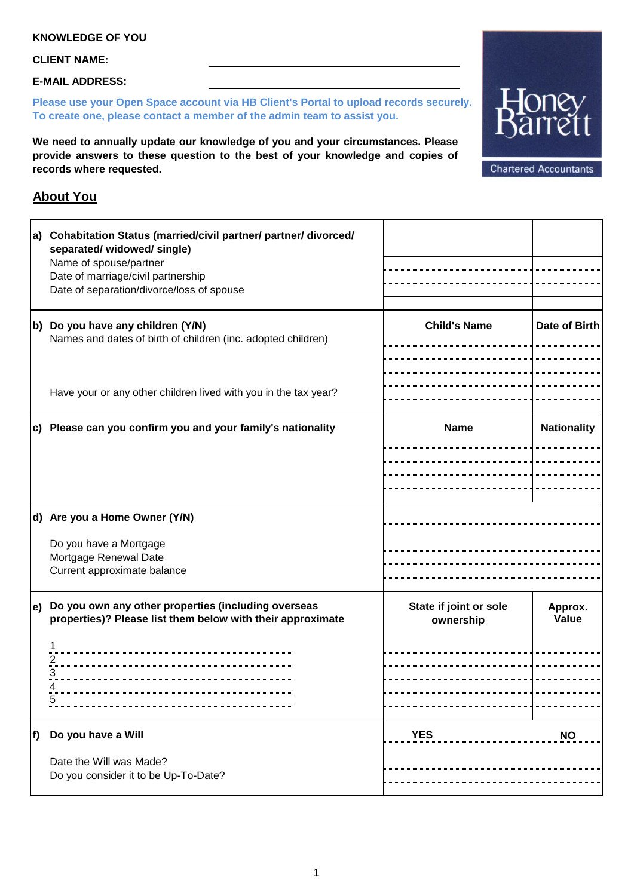## **CLIENT NAME:**

**E-MAIL ADDRESS:**

**Please use your Open Space account via HB Client's Portal to upload records securely. To create one, please contact a member of the admin team to assist you.**

**We need to annually update our knowledge of you and your circumstances. Please provide answers to these question to the best of your knowledge and copies of records where requested.**

**Chartered Accountants** 

## **About You**

|                   | a) Cohabitation Status (married/civil partner/ partner/ divorced/<br>separated/ widowed/ single)<br>Name of spouse/partner<br>Date of marriage/civil partnership<br>Date of separation/divorce/loss of spouse |                                     |                    |
|-------------------|---------------------------------------------------------------------------------------------------------------------------------------------------------------------------------------------------------------|-------------------------------------|--------------------|
|                   | b) Do you have any children (Y/N)<br>Names and dates of birth of children (inc. adopted children)                                                                                                             | <b>Child's Name</b>                 | Date of Birth      |
|                   | Have your or any other children lived with you in the tax year?                                                                                                                                               |                                     |                    |
|                   | c) Please can you confirm you and your family's nationality                                                                                                                                                   | <b>Name</b>                         | <b>Nationality</b> |
|                   |                                                                                                                                                                                                               |                                     |                    |
|                   | d) Are you a Home Owner (Y/N)                                                                                                                                                                                 |                                     |                    |
|                   | Do you have a Mortgage<br>Mortgage Renewal Date<br>Current approximate balance                                                                                                                                |                                     |                    |
| $\vert e \rangle$ | Do you own any other properties (including overseas<br>properties)? Please list them below with their approximate<br>З                                                                                        | State if joint or sole<br>ownership | Approx.<br>Value   |
| lf)               | Do you have a Will                                                                                                                                                                                            | <b>YES</b>                          | <b>NO</b>          |
|                   | Date the Will was Made?<br>Do you consider it to be Up-To-Date?                                                                                                                                               |                                     |                    |